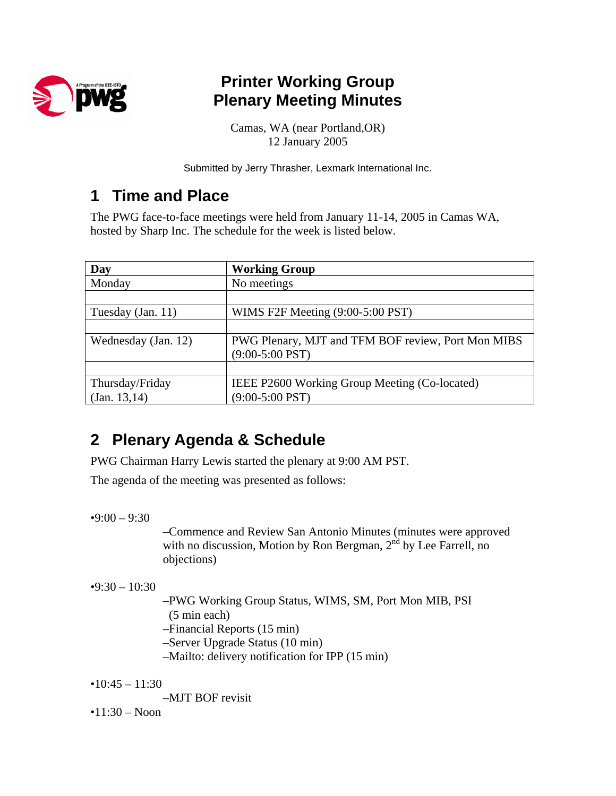

# **Printer Working Group Plenary Meeting Minutes**

Camas, WA (near Portland,OR) 12 January 2005

Submitted by Jerry Thrasher, Lexmark International Inc.

## **1 Time and Place**

The PWG face-to-face meetings were held from January 11-14, 2005 in Camas WA, hosted by Sharp Inc. The schedule for the week is listed below.

| Day                 | <b>Working Group</b>                               |
|---------------------|----------------------------------------------------|
| Monday              | No meetings                                        |
|                     |                                                    |
| Tuesday (Jan. 11)   | WIMS F2F Meeting (9:00-5:00 PST)                   |
|                     |                                                    |
| Wednesday (Jan. 12) | PWG Plenary, MJT and TFM BOF review, Port Mon MIBS |
|                     | $(9:00-5:00$ PST)                                  |
|                     |                                                    |
| Thursday/Friday     | IEEE P2600 Working Group Meeting (Co-located)      |
| (Jan. 13, 14)       | $(9:00-5:00$ PST)                                  |

## **2 Plenary Agenda & Schedule**

PWG Chairman Harry Lewis started the plenary at 9:00 AM PST.

The agenda of the meeting was presented as follows:

 $•9:00 - 9:30$ 

–Commence and Review San Antonio Minutes (minutes were approved with no discussion, Motion by Ron Bergman,  $2<sup>nd</sup>$  by Lee Farrell, no objections)

 $•9:30 - 10:30$ 

–PWG Working Group Status, WIMS, SM, Port Mon MIB, PSI (5 min each) –Financial Reports (15 min) –Server Upgrade Status (10 min) –Mailto: delivery notification for IPP (15 min)

 $•10:45 - 11:30$ 

–MJT BOF revisit

 $•11:30 - Noon$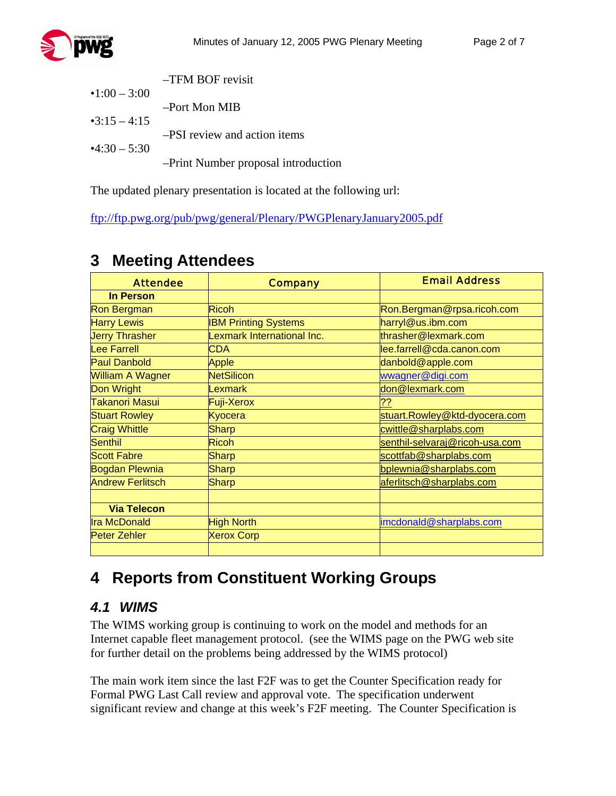|                     | $-TFM$ BOF revisit                  |
|---------------------|-------------------------------------|
| $\cdot$ 1:00 - 3:00 |                                     |
|                     | -Port Mon MIB                       |
| $-3:15 - 4:15$      |                                     |
|                     | -PSI review and action items        |
| $-4:30 - 5:30$      |                                     |
|                     | -Print Number proposal introduction |

The updated plenary presentation is located at the following url:

<ftp://ftp.pwg.org/pub/pwg/general/Plenary/PWGPlenaryJanuary2005.pdf>

| <b>Attendee</b>         | <b>Company</b>              | <b>Email Address</b>           |
|-------------------------|-----------------------------|--------------------------------|
| <b>In Person</b>        |                             |                                |
| <b>Ron Bergman</b>      | <b>Ricoh</b>                | Ron.Bergman@rpsa.ricoh.com     |
| <b>Harry Lewis</b>      | <b>IBM Printing Systems</b> | harryl@us.ibm.com              |
| <b>Jerry Thrasher</b>   | Lexmark International Inc.  | thrasher@lexmark.com           |
| <b>Lee Farrell</b>      | <b>CDA</b>                  | lee.farrell@cda.canon.com      |
| <b>Paul Danbold</b>     | Apple                       | danbold@apple.com              |
| <b>William A Wagner</b> | <b>NetSilicon</b>           | wwagner@digi.com               |
| Don Wright              | <b>Lexmark</b>              | don@lexmark.com                |
| Takanori Masui          | Fuji-Xerox                  | ??                             |
| <b>Stuart Rowley</b>    | Kyocera                     | stuart.Rowley@ktd-dyocera.com  |
| <b>Craig Whittle</b>    | <b>Sharp</b>                | cwittle@sharplabs.com          |
| <b>Senthil</b>          | <b>Ricoh</b>                | senthil-selvaraj@ricoh-usa.com |
| <b>Scott Fabre</b>      | <b>Sharp</b>                | scottfab@sharplabs.com         |
| <b>Bogdan Plewnia</b>   | <b>Sharp</b>                | bplewnia@sharplabs.com         |
| <b>Andrew Ferlitsch</b> | <b>Sharp</b>                | aferlitsch@sharplabs.com       |
|                         |                             |                                |
| <b>Via Telecon</b>      |                             |                                |
| <b>Ira McDonald</b>     | <b>High North</b>           | imcdonald@sharplabs.com        |
| <b>Peter Zehler</b>     | <b>Xerox Corp</b>           |                                |
|                         |                             |                                |

## **3 Meeting Attendees**

## **4 Reports from Constituent Working Groups**

#### *4.1 WIMS*

The WIMS working group is continuing to work on the model and methods for an Internet capable fleet management protocol. (see the WIMS page on the PWG web site for further detail on the problems being addressed by the WIMS protocol)

The main work item since the last F2F was to get the Counter Specification ready for Formal PWG Last Call review and approval vote. The specification underwent significant review and change at this week's F2F meeting. The Counter Specification is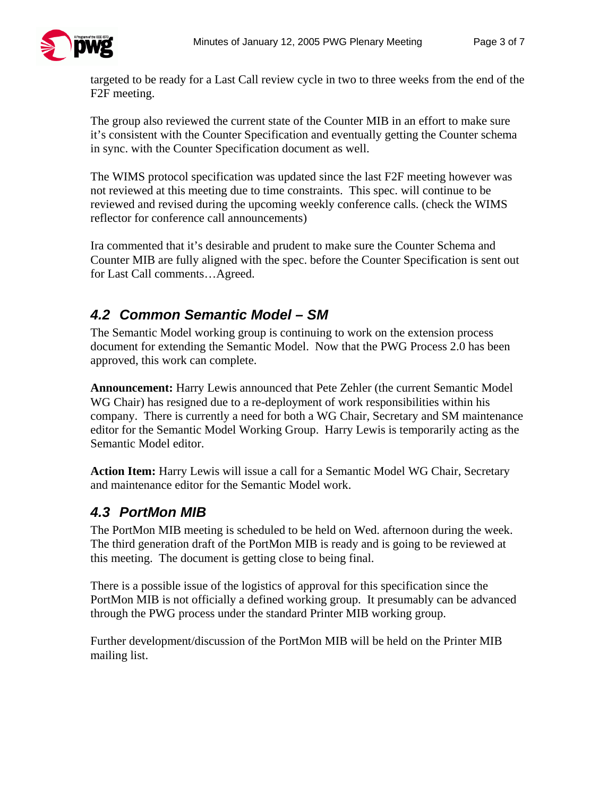

targeted to be ready for a Last Call review cycle in two to three weeks from the end of the F2F meeting.

The group also reviewed the current state of the Counter MIB in an effort to make sure it's consistent with the Counter Specification and eventually getting the Counter schema in sync. with the Counter Specification document as well.

The WIMS protocol specification was updated since the last F2F meeting however was not reviewed at this meeting due to time constraints. This spec. will continue to be reviewed and revised during the upcoming weekly conference calls. (check the WIMS reflector for conference call announcements)

Ira commented that it's desirable and prudent to make sure the Counter Schema and Counter MIB are fully aligned with the spec. before the Counter Specification is sent out for Last Call comments…Agreed.

### *4.2 Common Semantic Model – SM*

The Semantic Model working group is continuing to work on the extension process document for extending the Semantic Model. Now that the PWG Process 2.0 has been approved, this work can complete.

**Announcement:** Harry Lewis announced that Pete Zehler (the current Semantic Model WG Chair) has resigned due to a re-deployment of work responsibilities within his company. There is currently a need for both a WG Chair, Secretary and SM maintenance editor for the Semantic Model Working Group. Harry Lewis is temporarily acting as the Semantic Model editor.

**Action Item:** Harry Lewis will issue a call for a Semantic Model WG Chair, Secretary and maintenance editor for the Semantic Model work.

#### *4.3 PortMon MIB*

The PortMon MIB meeting is scheduled to be held on Wed. afternoon during the week. The third generation draft of the PortMon MIB is ready and is going to be reviewed at this meeting. The document is getting close to being final.

There is a possible issue of the logistics of approval for this specification since the PortMon MIB is not officially a defined working group. It presumably can be advanced through the PWG process under the standard Printer MIB working group.

Further development/discussion of the PortMon MIB will be held on the Printer MIB mailing list.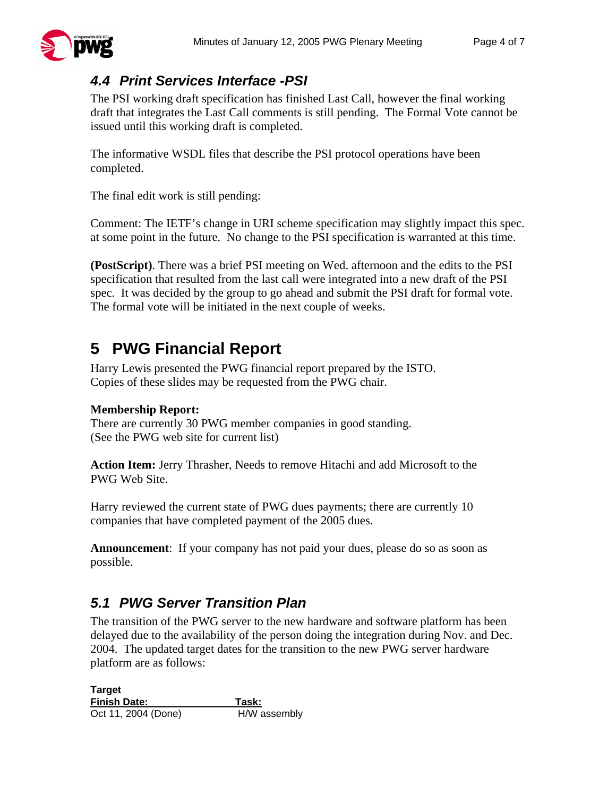### *4.4 Print Services Interface -PSI*

The PSI working draft specification has finished Last Call, however the final working draft that integrates the Last Call comments is still pending. The Formal Vote cannot be issued until this working draft is completed.

The informative WSDL files that describe the PSI protocol operations have been completed.

The final edit work is still pending:

Comment: The IETF's change in URI scheme specification may slightly impact this spec. at some point in the future. No change to the PSI specification is warranted at this time.

**(PostScript)**. There was a brief PSI meeting on Wed. afternoon and the edits to the PSI specification that resulted from the last call were integrated into a new draft of the PSI spec. It was decided by the group to go ahead and submit the PSI draft for formal vote. The formal vote will be initiated in the next couple of weeks.

# **5 PWG Financial Report**

Harry Lewis presented the PWG financial report prepared by the ISTO. Copies of these slides may be requested from the PWG chair.

#### **Membership Report:**

There are currently 30 PWG member companies in good standing. (See the PWG web site for current list)

**Action Item:** Jerry Thrasher, Needs to remove Hitachi and add Microsoft to the PWG Web Site.

Harry reviewed the current state of PWG dues payments; there are currently 10 companies that have completed payment of the 2005 dues.

**Announcement**: If your company has not paid your dues, please do so as soon as possible.

#### *5.1 PWG Server Transition Plan*

The transition of the PWG server to the new hardware and software platform has been delayed due to the availability of the person doing the integration during Nov. and Dec. 2004. The updated target dates for the transition to the new PWG server hardware platform are as follows:

**Target Finish Date: Task:**  Oct 11, 2004 (Done) H/W assembly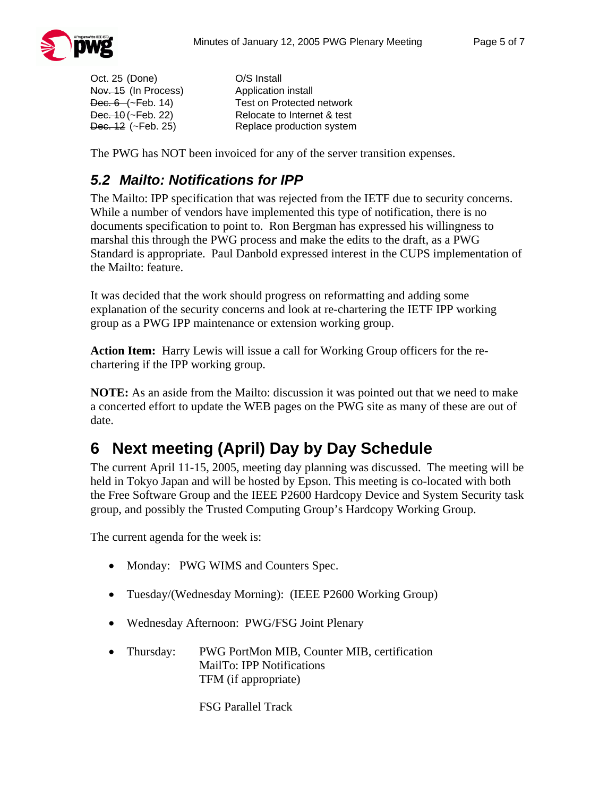

Oct. 25 (Done) O/S Install Nov. 15 (In Process) Application install

Dec. 6 (~Feb. 14) Test on Protected network Dec. 10 (~Feb. 22) Relocate to Internet & test Dec. 12 (~Feb. 25) Replace production system

The PWG has NOT been invoiced for any of the server transition expenses.

#### *5.2 Mailto: Notifications for IPP*

The Mailto: IPP specification that was rejected from the IETF due to security concerns. While a number of vendors have implemented this type of notification, there is no documents specification to point to. Ron Bergman has expressed his willingness to marshal this through the PWG process and make the edits to the draft, as a PWG Standard is appropriate. Paul Danbold expressed interest in the CUPS implementation of the Mailto: feature.

It was decided that the work should progress on reformatting and adding some explanation of the security concerns and look at re-chartering the IETF IPP working group as a PWG IPP maintenance or extension working group.

**Action Item:** Harry Lewis will issue a call for Working Group officers for the rechartering if the IPP working group.

**NOTE:** As an aside from the Mailto: discussion it was pointed out that we need to make a concerted effort to update the WEB pages on the PWG site as many of these are out of date.

### **6 Next meeting (April) Day by Day Schedule**

The current April 11-15, 2005, meeting day planning was discussed. The meeting will be held in Tokyo Japan and will be hosted by Epson. This meeting is co-located with both the Free Software Group and the IEEE P2600 Hardcopy Device and System Security task group, and possibly the Trusted Computing Group's Hardcopy Working Group.

The current agenda for the week is:

- Monday: PWG WIMS and Counters Spec.
- Tuesday/(Wednesday Morning): (IEEE P2600 Working Group)
- Wednesday Afternoon: PWG/FSG Joint Plenary
- Thursday: PWG PortMon MIB, Counter MIB, certification MailTo: IPP Notifications TFM (if appropriate)

FSG Parallel Track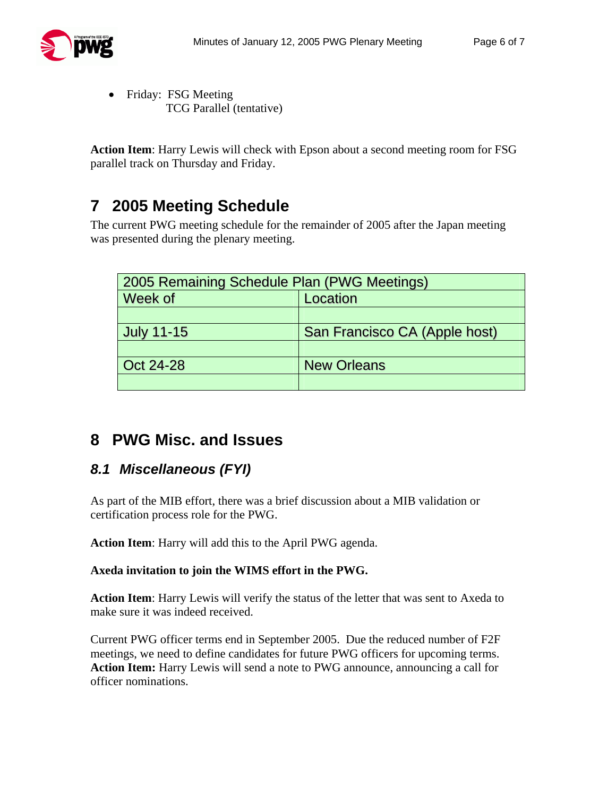

• Friday: FSG Meeting TCG Parallel (tentative)

**Action Item**: Harry Lewis will check with Epson about a second meeting room for FSG parallel track on Thursday and Friday.

# **7 2005 Meeting Schedule**

The current PWG meeting schedule for the remainder of 2005 after the Japan meeting was presented during the plenary meeting.

| 2005 Remaining Schedule Plan (PWG Meetings) |                               |  |
|---------------------------------------------|-------------------------------|--|
| Week of                                     | Location                      |  |
|                                             |                               |  |
| <b>July 11-15</b>                           | San Francisco CA (Apple host) |  |
|                                             |                               |  |
| Oct 24-28                                   | <b>New Orleans</b>            |  |
|                                             |                               |  |

## **8 PWG Misc. and Issues**

### *8.1 Miscellaneous (FYI)*

As part of the MIB effort, there was a brief discussion about a MIB validation or certification process role for the PWG.

**Action Item**: Harry will add this to the April PWG agenda.

#### **Axeda invitation to join the WIMS effort in the PWG.**

**Action Item**: Harry Lewis will verify the status of the letter that was sent to Axeda to make sure it was indeed received.

Current PWG officer terms end in September 2005. Due the reduced number of F2F meetings, we need to define candidates for future PWG officers for upcoming terms. **Action Item:** Harry Lewis will send a note to PWG announce, announcing a call for officer nominations.